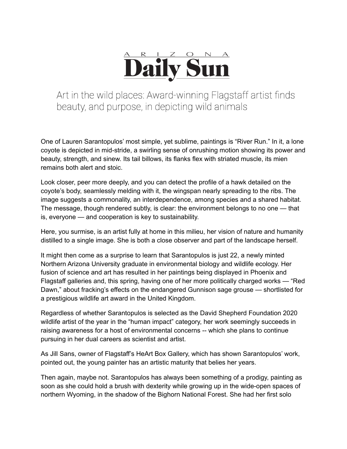

Art in the wild places: Award-winning Flagstaff artist finds beauty, and purpose, in depicting wild animals

One of Lauren Sarantopulos' most simple, yet sublime, paintings is "River Run." In it, a lone coyote is depicted in mid-stride, a swirling sense of onrushing motion showing its power and beauty, strength, and sinew. Its tail billows, its flanks flex with striated muscle, its mien remains both alert and stoic.

Look closer, peer more deeply, and you can detect the profile of a hawk detailed on the coyote's body, seamlessly melding with it, the wingspan nearly spreading to the ribs. The image suggests a commonality, an interdependence, among species and a shared habitat. The message, though rendered subtly, is clear: the environment belongs to no one — that is, everyone — and cooperation is key to sustainability.

Here, you surmise, is an artist fully at home in this milieu, her vision of nature and humanity distilled to a single image. She is both a close observer and part of the landscape herself.

It might then come as a surprise to learn that Sarantopulos is just 22, a newly minted Northern Arizona University graduate in environmental biology and wildlife ecology. Her fusion of science and art has resulted in her paintings being displayed in Phoenix and Flagstaff galleries and, this spring, having one of her more politically charged works — "Red Dawn," about fracking's effects on the endangered Gunnison sage grouse — shortlisted for a prestigious wildlife art award in the United Kingdom.

Regardless of whether Sarantopulos is selected as the David Shepherd Foundation 2020 wildlife artist of the year in the "human impact" category, her work seemingly succeeds in raising awareness for a host of environmental concerns -- which she plans to continue pursuing in her dual careers as scientist and artist.

As Jill Sans, owner of Flagstaff's HeArt Box Gallery, which has shown Sarantopulos' work, pointed out, the young painter has an artistic maturity that belies her years.

Then again, maybe not. Sarantopulos has always been something of a prodigy, painting as soon as she could hold a brush with dexterity while growing up in the wide-open spaces of northern Wyoming, in the shadow of the Bighorn National Forest. She had her first solo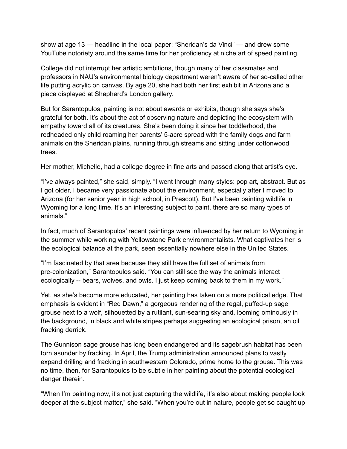show at age 13 — headline in the local paper: "Sheridan's da Vinci" — and drew some YouTube notoriety around the same time for her proficiency at niche art of speed painting.

College did not interrupt her artistic ambitions, though many of her classmates and professors in NAU's environmental biology department weren't aware of her so-called other life putting acrylic on canvas. By age 20, she had both her first exhibit in Arizona and a piece displayed at Shepherd's London gallery.

But for Sarantopulos, painting is not about awards or exhibits, though she says she's grateful for both. It's about the act of observing nature and depicting the ecosystem with empathy toward all of its creatures. She's been doing it since her toddlerhood, the redheaded only child roaming her parents' 5-acre spread with the family dogs and farm animals on the Sheridan plains, running through streams and sitting under cottonwood trees.

Her mother, Michelle, had a college degree in fine arts and passed along that artist's eye.

"I've always painted," she said, simply. "I went through many styles: pop art, abstract. But as I got older, I became very passionate about the environment, especially after I moved to Arizona (for her senior year in high school, in Prescott). But I've been painting wildlife in Wyoming for a long time. It's an interesting subject to paint, there are so many types of animals."

In fact, much of Sarantopulos' recent paintings were influenced by her return to Wyoming in the summer while working with Yellowstone Park environmentalists. What captivates her is the ecological balance at the park, seen essentially nowhere else in the United States.

"I'm fascinated by that area because they still have the full set of animals from pre-colonization," Sarantopulos said. "You can still see the way the animals interact ecologically -- bears, wolves, and owls. I just keep coming back to them in my work."

Yet, as she's become more educated, her painting has taken on a more political edge. That emphasis is evident in "Red Dawn," a gorgeous rendering of the regal, puffed-up sage grouse next to a wolf, silhouetted by a rutilant, sun-searing sky and, looming ominously in the background, in black and white stripes perhaps suggesting an ecological prison, an oil fracking derrick.

The Gunnison sage grouse has long been endangered and its sagebrush habitat has been torn asunder by fracking. In April, the Trump administration announced plans to vastly expand drilling and fracking in southwestern Colorado, prime home to the grouse. This was no time, then, for Sarantopulos to be subtle in her painting about the potential ecological danger therein.

"When I'm painting now, it's not just capturing the wildlife, it's also about making people look deeper at the subject matter," she said. "When you're out in nature, people get so caught up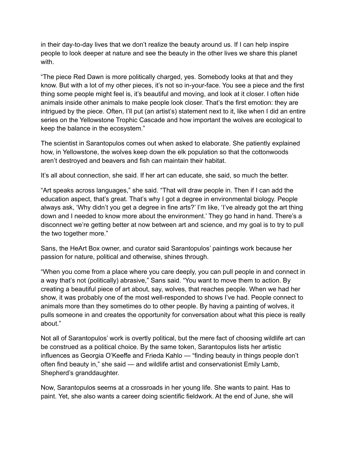in their day-to-day lives that we don't realize the beauty around us. If I can help inspire people to look deeper at nature and see the beauty in the other lives we share this planet with.

"The piece Red Dawn is more politically charged, yes. Somebody looks at that and they know. But with a lot of my other pieces, it's not so in-your-face. You see a piece and the first thing some people might feel is, it's beautiful and moving, and look at it closer. I often hide animals inside other animals to make people look closer. That's the first emotion: they are intrigued by the piece. Often, I'll put (an artist's) statement next to it, like when I did an entire series on the Yellowstone Trophic Cascade and how important the wolves are ecological to keep the balance in the ecosystem."

The scientist in Sarantopulos comes out when asked to elaborate. She patiently explained how, in Yellowstone, the wolves keep down the elk population so that the cottonwoods aren't destroyed and beavers and fish can maintain their habitat.

It's all about connection, she said. If her art can educate, she said, so much the better.

"Art speaks across languages," she said. "That will draw people in. Then if I can add the education aspect, that's great. That's why I got a degree in environmental biology. People always ask, 'Why didn't you get a degree in fine arts?' I'm like, 'I've already got the art thing down and I needed to know more about the environment.' They go hand in hand. There's a disconnect we're getting better at now between art and science, and my goal is to try to pull the two together more."

Sans, the HeArt Box owner, and curator said Sarantopulos' paintings work because her passion for nature, political and otherwise, shines through.

"When you come from a place where you care deeply, you can pull people in and connect in a way that's not (politically) abrasive," Sans said. "You want to move them to action. By creating a beautiful piece of art about, say, wolves, that reaches people. When we had her show, it was probably one of the most well-responded to shows I've had. People connect to animals more than they sometimes do to other people. By having a painting of wolves, it pulls someone in and creates the opportunity for conversation about what this piece is really about."

Not all of Sarantopulos' work is overtly political, but the mere fact of choosing wildlife art can be construed as a political choice. By the same token, Sarantopulos lists her artistic influences as Georgia O'Keeffe and Frieda Kahlo — "finding beauty in things people don't often find beauty in," she said — and wildlife artist and conservationist Emily Lamb, Shepherd's granddaughter.

Now, Sarantopulos seems at a crossroads in her young life. She wants to paint. Has to paint. Yet, she also wants a career doing scientific fieldwork. At the end of June, she will